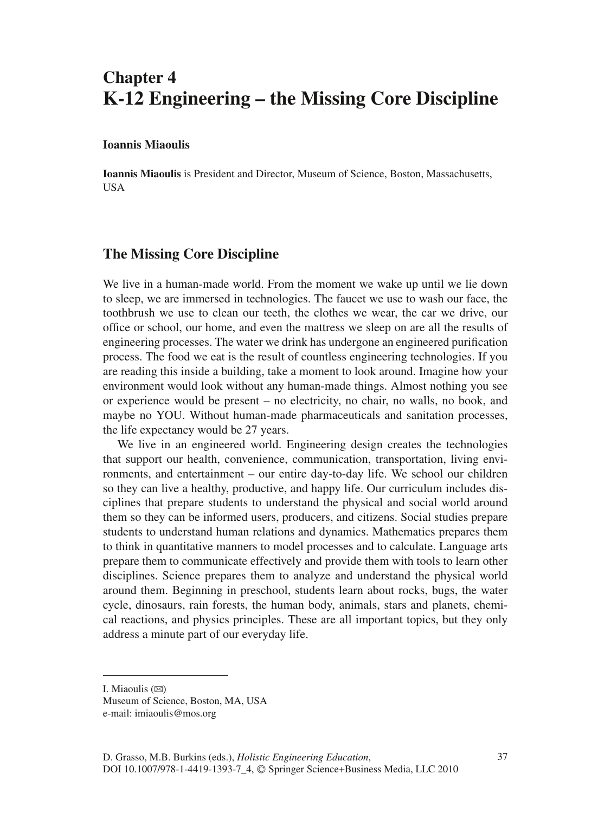# **Chapter 4 K-12 Engineering – the Missing Core Discipline**

#### **Ioannis Miaoulis**

**Ioannis Miaoulis** is President and Director, Museum of Science, Boston, Massachusetts, USA

# **The Missing Core Discipline**

We live in a human-made world. From the moment we wake up until we lie down to sleep, we are immersed in technologies. The faucet we use to wash our face, the toothbrush we use to clean our teeth, the clothes we wear, the car we drive, our office or school, our home, and even the mattress we sleep on are all the results of engineering processes. The water we drink has undergone an engineered purification process. The food we eat is the result of countless engineering technologies. If you are reading this inside a building, take a moment to look around. Imagine how your environment would look without any human-made things. Almost nothing you see or experience would be present – no electricity, no chair, no walls, no book, and maybe no YOU. Without human-made pharmaceuticals and sanitation processes, the life expectancy would be 27 years.

We live in an engineered world. Engineering design creates the technologies that support our health, convenience, communication, transportation, living environments, and entertainment – our entire day-to-day life. We school our children so they can live a healthy, productive, and happy life. Our curriculum includes disciplines that prepare students to understand the physical and social world around them so they can be informed users, producers, and citizens. Social studies prepare students to understand human relations and dynamics. Mathematics prepares them to think in quantitative manners to model processes and to calculate. Language arts prepare them to communicate effectively and provide them with tools to learn other disciplines. Science prepares them to analyze and understand the physical world around them. Beginning in preschool, students learn about rocks, bugs, the water cycle, dinosaurs, rain forests, the human body, animals, stars and planets, chemical reactions, and physics principles. These are all important topics, but they only address a minute part of our everyday life.

I. Miaoulis  $(\boxtimes)$ 

Museum of Science, Boston, MA, USA e-mail: imiaoulis@mos.org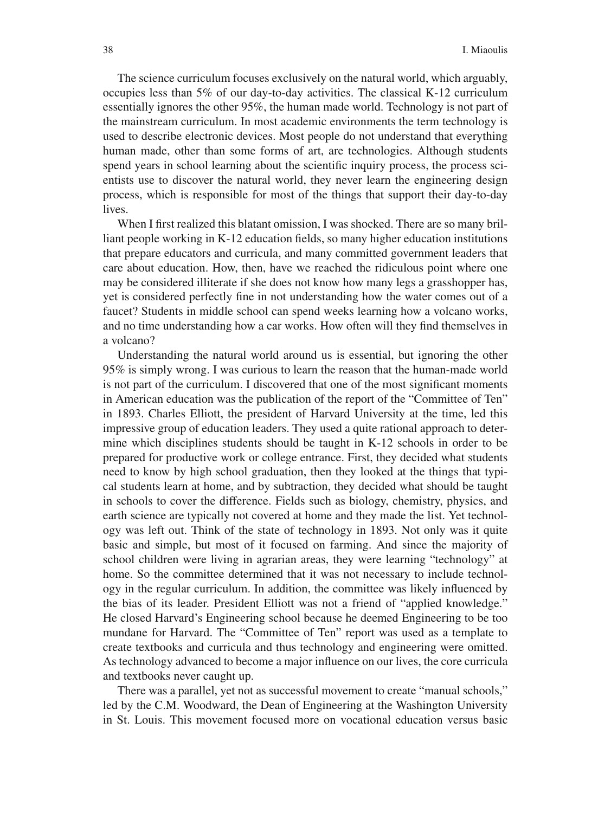The science curriculum focuses exclusively on the natural world, which arguably, occupies less than 5% of our day-to-day activities. The classical K-12 curriculum essentially ignores the other 95%, the human made world. Technology is not part of the mainstream curriculum. In most academic environments the term technology is used to describe electronic devices. Most people do not understand that everything human made, other than some forms of art, are technologies. Although students spend years in school learning about the scientific inquiry process, the process scientists use to discover the natural world, they never learn the engineering design process, which is responsible for most of the things that support their day-to-day lives.

When I first realized this blatant omission, I was shocked. There are so many brilliant people working in K-12 education fields, so many higher education institutions that prepare educators and curricula, and many committed government leaders that care about education. How, then, have we reached the ridiculous point where one may be considered illiterate if she does not know how many legs a grasshopper has, yet is considered perfectly fine in not understanding how the water comes out of a faucet? Students in middle school can spend weeks learning how a volcano works, and no time understanding how a car works. How often will they find themselves in a volcano?

Understanding the natural world around us is essential, but ignoring the other 95% is simply wrong. I was curious to learn the reason that the human-made world is not part of the curriculum. I discovered that one of the most significant moments in American education was the publication of the report of the "Committee of Ten" in 1893. Charles Elliott, the president of Harvard University at the time, led this impressive group of education leaders. They used a quite rational approach to determine which disciplines students should be taught in K-12 schools in order to be prepared for productive work or college entrance. First, they decided what students need to know by high school graduation, then they looked at the things that typical students learn at home, and by subtraction, they decided what should be taught in schools to cover the difference. Fields such as biology, chemistry, physics, and earth science are typically not covered at home and they made the list. Yet technology was left out. Think of the state of technology in 1893. Not only was it quite basic and simple, but most of it focused on farming. And since the majority of school children were living in agrarian areas, they were learning "technology" at home. So the committee determined that it was not necessary to include technology in the regular curriculum. In addition, the committee was likely influenced by the bias of its leader. President Elliott was not a friend of "applied knowledge." He closed Harvard's Engineering school because he deemed Engineering to be too mundane for Harvard. The "Committee of Ten" report was used as a template to create textbooks and curricula and thus technology and engineering were omitted. As technology advanced to become a major influence on our lives, the core curricula and textbooks never caught up.

There was a parallel, yet not as successful movement to create "manual schools," led by the C.M. Woodward, the Dean of Engineering at the Washington University in St. Louis. This movement focused more on vocational education versus basic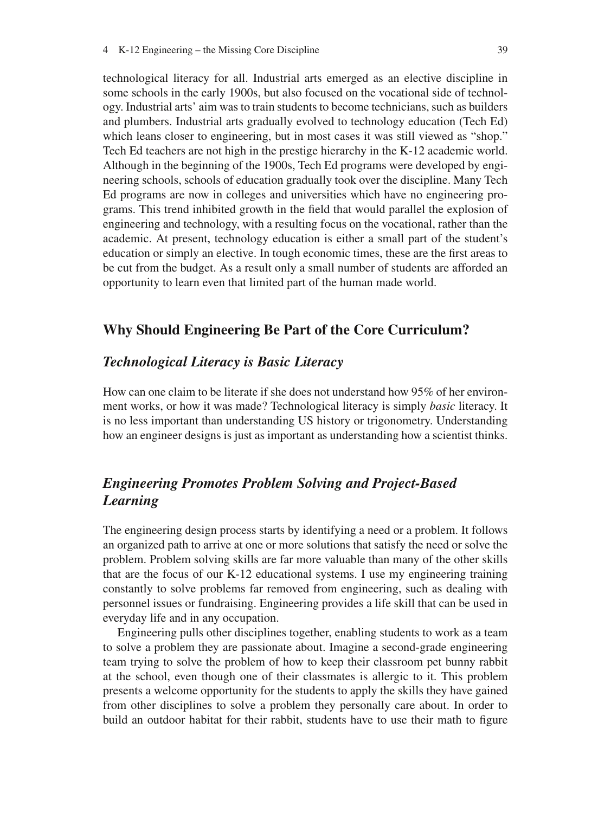technological literacy for all. Industrial arts emerged as an elective discipline in some schools in the early 1900s, but also focused on the vocational side of technology. Industrial arts' aim was to train students to become technicians, such as builders and plumbers. Industrial arts gradually evolved to technology education (Tech Ed) which leans closer to engineering, but in most cases it was still viewed as "shop." Tech Ed teachers are not high in the prestige hierarchy in the K-12 academic world. Although in the beginning of the 1900s, Tech Ed programs were developed by engineering schools, schools of education gradually took over the discipline. Many Tech Ed programs are now in colleges and universities which have no engineering programs. This trend inhibited growth in the field that would parallel the explosion of engineering and technology, with a resulting focus on the vocational, rather than the academic. At present, technology education is either a small part of the student's education or simply an elective. In tough economic times, these are the first areas to be cut from the budget. As a result only a small number of students are afforded an opportunity to learn even that limited part of the human made world.

# **Why Should Engineering Be Part of the Core Curriculum?**

# *Technological Literacy is Basic Literacy*

How can one claim to be literate if she does not understand how 95% of her environment works, or how it was made? Technological literacy is simply *basic* literacy. It is no less important than understanding US history or trigonometry. Understanding how an engineer designs is just as important as understanding how a scientist thinks.

# *Engineering Promotes Problem Solving and Project-Based Learning*

The engineering design process starts by identifying a need or a problem. It follows an organized path to arrive at one or more solutions that satisfy the need or solve the problem. Problem solving skills are far more valuable than many of the other skills that are the focus of our K-12 educational systems. I use my engineering training constantly to solve problems far removed from engineering, such as dealing with personnel issues or fundraising. Engineering provides a life skill that can be used in everyday life and in any occupation.

Engineering pulls other disciplines together, enabling students to work as a team to solve a problem they are passionate about. Imagine a second-grade engineering team trying to solve the problem of how to keep their classroom pet bunny rabbit at the school, even though one of their classmates is allergic to it. This problem presents a welcome opportunity for the students to apply the skills they have gained from other disciplines to solve a problem they personally care about. In order to build an outdoor habitat for their rabbit, students have to use their math to figure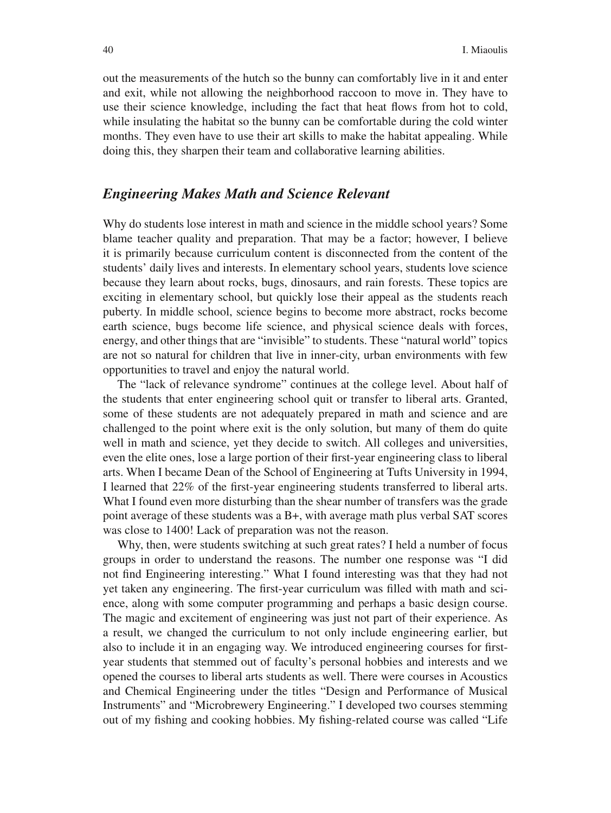out the measurements of the hutch so the bunny can comfortably live in it and enter and exit, while not allowing the neighborhood raccoon to move in. They have to use their science knowledge, including the fact that heat flows from hot to cold, while insulating the habitat so the bunny can be comfortable during the cold winter months. They even have to use their art skills to make the habitat appealing. While doing this, they sharpen their team and collaborative learning abilities.

# *Engineering Makes Math and Science Relevant*

Why do students lose interest in math and science in the middle school years? Some blame teacher quality and preparation. That may be a factor; however, I believe it is primarily because curriculum content is disconnected from the content of the students' daily lives and interests. In elementary school years, students love science because they learn about rocks, bugs, dinosaurs, and rain forests. These topics are exciting in elementary school, but quickly lose their appeal as the students reach puberty. In middle school, science begins to become more abstract, rocks become earth science, bugs become life science, and physical science deals with forces, energy, and other things that are "invisible" to students. These "natural world" topics are not so natural for children that live in inner-city, urban environments with few opportunities to travel and enjoy the natural world.

The "lack of relevance syndrome" continues at the college level. About half of the students that enter engineering school quit or transfer to liberal arts. Granted, some of these students are not adequately prepared in math and science and are challenged to the point where exit is the only solution, but many of them do quite well in math and science, yet they decide to switch. All colleges and universities, even the elite ones, lose a large portion of their first-year engineering class to liberal arts. When I became Dean of the School of Engineering at Tufts University in 1994, I learned that 22% of the first-year engineering students transferred to liberal arts. What I found even more disturbing than the shear number of transfers was the grade point average of these students was a B+, with average math plus verbal SAT scores was close to 1400! Lack of preparation was not the reason.

Why, then, were students switching at such great rates? I held a number of focus groups in order to understand the reasons. The number one response was "I did not find Engineering interesting." What I found interesting was that they had not yet taken any engineering. The first-year curriculum was filled with math and science, along with some computer programming and perhaps a basic design course. The magic and excitement of engineering was just not part of their experience. As a result, we changed the curriculum to not only include engineering earlier, but also to include it in an engaging way. We introduced engineering courses for firstyear students that stemmed out of faculty's personal hobbies and interests and we opened the courses to liberal arts students as well. There were courses in Acoustics and Chemical Engineering under the titles "Design and Performance of Musical Instruments" and "Microbrewery Engineering." I developed two courses stemming out of my fishing and cooking hobbies. My fishing-related course was called "Life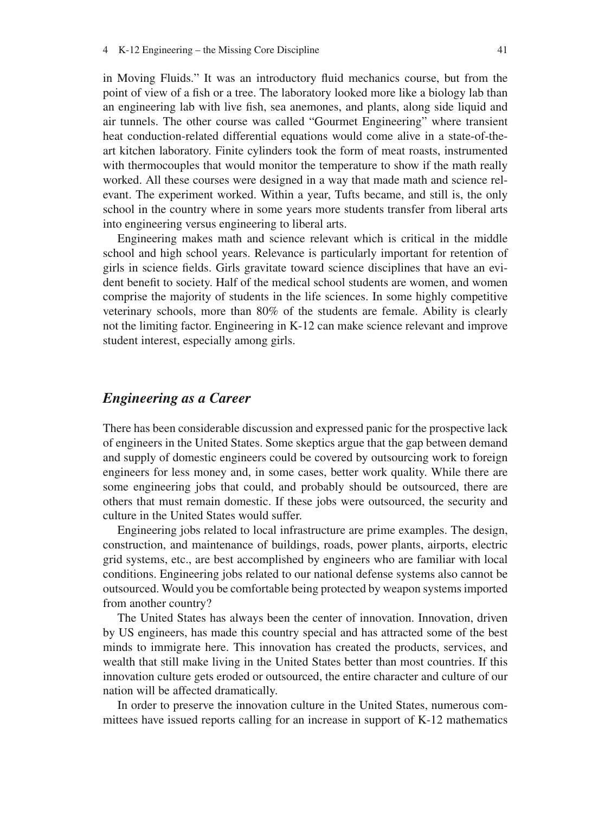in Moving Fluids." It was an introductory fluid mechanics course, but from the point of view of a fish or a tree. The laboratory looked more like a biology lab than an engineering lab with live fish, sea anemones, and plants, along side liquid and air tunnels. The other course was called "Gourmet Engineering" where transient heat conduction-related differential equations would come alive in a state-of-theart kitchen laboratory. Finite cylinders took the form of meat roasts, instrumented with thermocouples that would monitor the temperature to show if the math really worked. All these courses were designed in a way that made math and science relevant. The experiment worked. Within a year, Tufts became, and still is, the only school in the country where in some years more students transfer from liberal arts into engineering versus engineering to liberal arts.

Engineering makes math and science relevant which is critical in the middle school and high school years. Relevance is particularly important for retention of girls in science fields. Girls gravitate toward science disciplines that have an evident benefit to society. Half of the medical school students are women, and women comprise the majority of students in the life sciences. In some highly competitive veterinary schools, more than 80% of the students are female. Ability is clearly not the limiting factor. Engineering in K-12 can make science relevant and improve student interest, especially among girls.

#### *Engineering as a Career*

There has been considerable discussion and expressed panic for the prospective lack of engineers in the United States. Some skeptics argue that the gap between demand and supply of domestic engineers could be covered by outsourcing work to foreign engineers for less money and, in some cases, better work quality. While there are some engineering jobs that could, and probably should be outsourced, there are others that must remain domestic. If these jobs were outsourced, the security and culture in the United States would suffer.

Engineering jobs related to local infrastructure are prime examples. The design, construction, and maintenance of buildings, roads, power plants, airports, electric grid systems, etc., are best accomplished by engineers who are familiar with local conditions. Engineering jobs related to our national defense systems also cannot be outsourced. Would you be comfortable being protected by weapon systems imported from another country?

The United States has always been the center of innovation. Innovation, driven by US engineers, has made this country special and has attracted some of the best minds to immigrate here. This innovation has created the products, services, and wealth that still make living in the United States better than most countries. If this innovation culture gets eroded or outsourced, the entire character and culture of our nation will be affected dramatically.

In order to preserve the innovation culture in the United States, numerous committees have issued reports calling for an increase in support of K-12 mathematics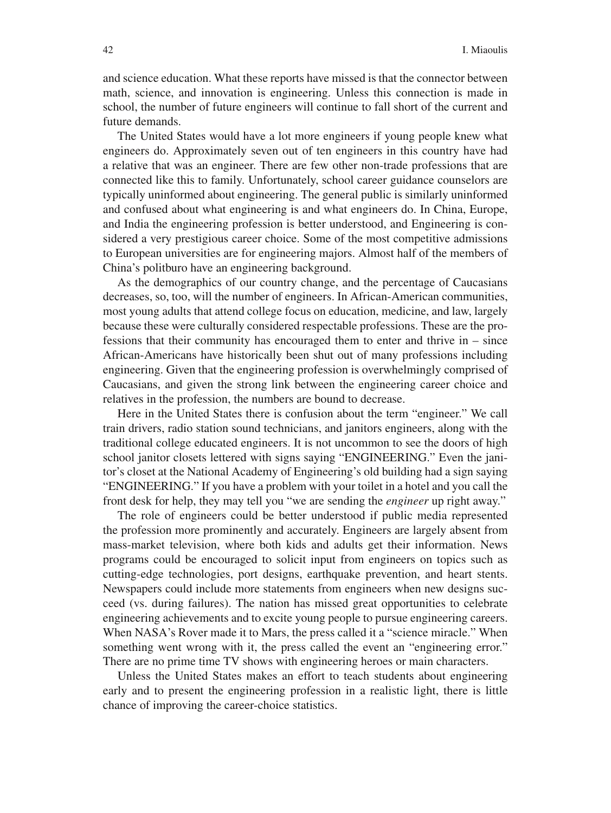and science education. What these reports have missed is that the connector between math, science, and innovation is engineering. Unless this connection is made in school, the number of future engineers will continue to fall short of the current and future demands.

The United States would have a lot more engineers if young people knew what engineers do. Approximately seven out of ten engineers in this country have had a relative that was an engineer. There are few other non-trade professions that are connected like this to family. Unfortunately, school career guidance counselors are typically uninformed about engineering. The general public is similarly uninformed and confused about what engineering is and what engineers do. In China, Europe, and India the engineering profession is better understood, and Engineering is considered a very prestigious career choice. Some of the most competitive admissions to European universities are for engineering majors. Almost half of the members of China's politburo have an engineering background.

As the demographics of our country change, and the percentage of Caucasians decreases, so, too, will the number of engineers. In African-American communities, most young adults that attend college focus on education, medicine, and law, largely because these were culturally considered respectable professions. These are the professions that their community has encouraged them to enter and thrive in – since African-Americans have historically been shut out of many professions including engineering. Given that the engineering profession is overwhelmingly comprised of Caucasians, and given the strong link between the engineering career choice and relatives in the profession, the numbers are bound to decrease.

Here in the United States there is confusion about the term "engineer." We call train drivers, radio station sound technicians, and janitors engineers, along with the traditional college educated engineers. It is not uncommon to see the doors of high school janitor closets lettered with signs saying "ENGINEERING." Even the janitor's closet at the National Academy of Engineering's old building had a sign saying "ENGINEERING." If you have a problem with your toilet in a hotel and you call the front desk for help, they may tell you "we are sending the *engineer* up right away."

The role of engineers could be better understood if public media represented the profession more prominently and accurately. Engineers are largely absent from mass-market television, where both kids and adults get their information. News programs could be encouraged to solicit input from engineers on topics such as cutting-edge technologies, port designs, earthquake prevention, and heart stents. Newspapers could include more statements from engineers when new designs succeed (vs. during failures). The nation has missed great opportunities to celebrate engineering achievements and to excite young people to pursue engineering careers. When NASA's Rover made it to Mars, the press called it a "science miracle." When something went wrong with it, the press called the event an "engineering error." There are no prime time TV shows with engineering heroes or main characters.

Unless the United States makes an effort to teach students about engineering early and to present the engineering profession in a realistic light, there is little chance of improving the career-choice statistics.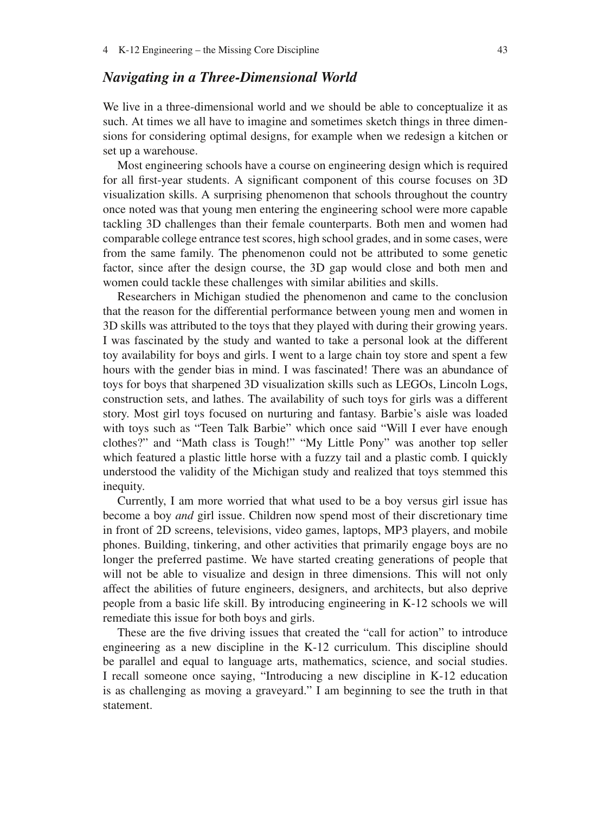#### *Navigating in a Three-Dimensional World*

We live in a three-dimensional world and we should be able to conceptualize it as such. At times we all have to imagine and sometimes sketch things in three dimensions for considering optimal designs, for example when we redesign a kitchen or set up a warehouse.

Most engineering schools have a course on engineering design which is required for all first-year students. A significant component of this course focuses on 3D visualization skills. A surprising phenomenon that schools throughout the country once noted was that young men entering the engineering school were more capable tackling 3D challenges than their female counterparts. Both men and women had comparable college entrance test scores, high school grades, and in some cases, were from the same family. The phenomenon could not be attributed to some genetic factor, since after the design course, the 3D gap would close and both men and women could tackle these challenges with similar abilities and skills.

Researchers in Michigan studied the phenomenon and came to the conclusion that the reason for the differential performance between young men and women in 3D skills was attributed to the toys that they played with during their growing years. I was fascinated by the study and wanted to take a personal look at the different toy availability for boys and girls. I went to a large chain toy store and spent a few hours with the gender bias in mind. I was fascinated! There was an abundance of toys for boys that sharpened 3D visualization skills such as LEGOs, Lincoln Logs, construction sets, and lathes. The availability of such toys for girls was a different story. Most girl toys focused on nurturing and fantasy. Barbie's aisle was loaded with toys such as "Teen Talk Barbie" which once said "Will I ever have enough clothes?" and "Math class is Tough!" "My Little Pony" was another top seller which featured a plastic little horse with a fuzzy tail and a plastic comb. I quickly understood the validity of the Michigan study and realized that toys stemmed this inequity.

Currently, I am more worried that what used to be a boy versus girl issue has become a boy *and* girl issue. Children now spend most of their discretionary time in front of 2D screens, televisions, video games, laptops, MP3 players, and mobile phones. Building, tinkering, and other activities that primarily engage boys are no longer the preferred pastime. We have started creating generations of people that will not be able to visualize and design in three dimensions. This will not only affect the abilities of future engineers, designers, and architects, but also deprive people from a basic life skill. By introducing engineering in K-12 schools we will remediate this issue for both boys and girls.

These are the five driving issues that created the "call for action" to introduce engineering as a new discipline in the K-12 curriculum. This discipline should be parallel and equal to language arts, mathematics, science, and social studies. I recall someone once saying, "Introducing a new discipline in K-12 education is as challenging as moving a graveyard." I am beginning to see the truth in that statement.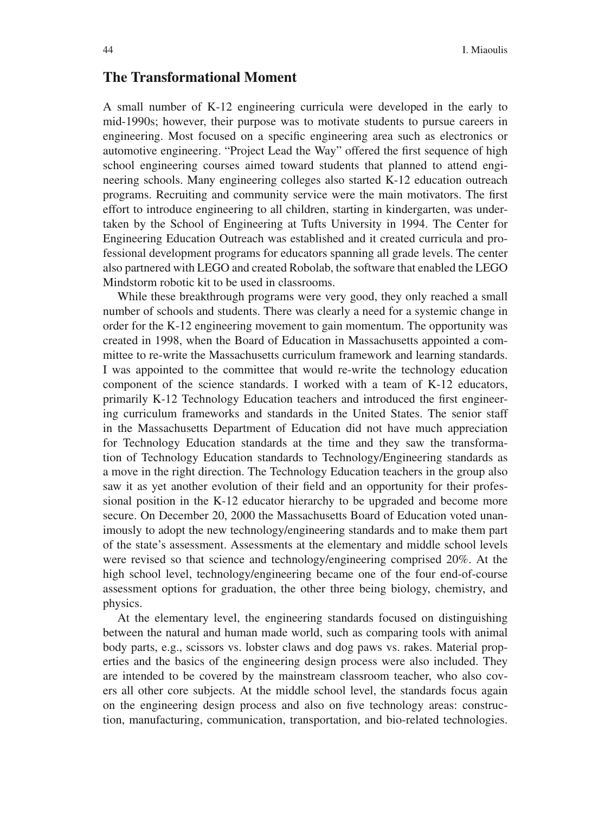#### **The Transformational Moment**

A small number of K-12 engineering curricula were developed in the early to mid-1990s; however, their purpose was to motivate students to pursue careers in engineering. Most focused on a specific engineering area such as electronics or automotive engineering. "Project Lead the Way" offered the first sequence of high school engineering courses aimed toward students that planned to attend engineering schools. Many engineering colleges also started K-12 education outreach programs. Recruiting and community service were the main motivators. The first effort to introduce engineering to all children, starting in kindergarten, was undertaken by the School of Engineering at Tufts University in 1994. The Center for Engineering Education Outreach was established and it created curricula and professional development programs for educators spanning all grade levels. The center also partnered with LEGO and created Robolab, the software that enabled the LEGO Mindstorm robotic kit to be used in classrooms.

While these breakthrough programs were very good, they only reached a small number of schools and students. There was clearly a need for a systemic change in order for the K-12 engineering movement to gain momentum. The opportunity was created in 1998, when the Board of Education in Massachusetts appointed a committee to re-write the Massachusetts curriculum framework and learning standards. I was appointed to the committee that would re-write the technology education component of the science standards. I worked with a team of K-12 educators, primarily K-12 Technology Education teachers and introduced the first engineering curriculum frameworks and standards in the United States. The senior staff in the Massachusetts Department of Education did not have much appreciation for Technology Education standards at the time and they saw the transformation of Technology Education standards to Technology/Engineering standards as a move in the right direction. The Technology Education teachers in the group also saw it as yet another evolution of their field and an opportunity for their professional position in the K-12 educator hierarchy to be upgraded and become more secure. On December 20, 2000 the Massachusetts Board of Education voted unanimously to adopt the new technology/engineering standards and to make them part of the state's assessment. Assessments at the elementary and middle school levels were revised so that science and technology/engineering comprised 20%. At the high school level, technology/engineering became one of the four end-of-course assessment options for graduation, the other three being biology, chemistry, and physics.

At the elementary level, the engineering standards focused on distinguishing between the natural and human made world, such as comparing tools with animal body parts, e.g., scissors vs. lobster claws and dog paws vs. rakes. Material properties and the basics of the engineering design process were also included. They are intended to be covered by the mainstream classroom teacher, who also covers all other core subjects. At the middle school level, the standards focus again on the engineering design process and also on five technology areas: construction, manufacturing, communication, transportation, and bio-related technologies.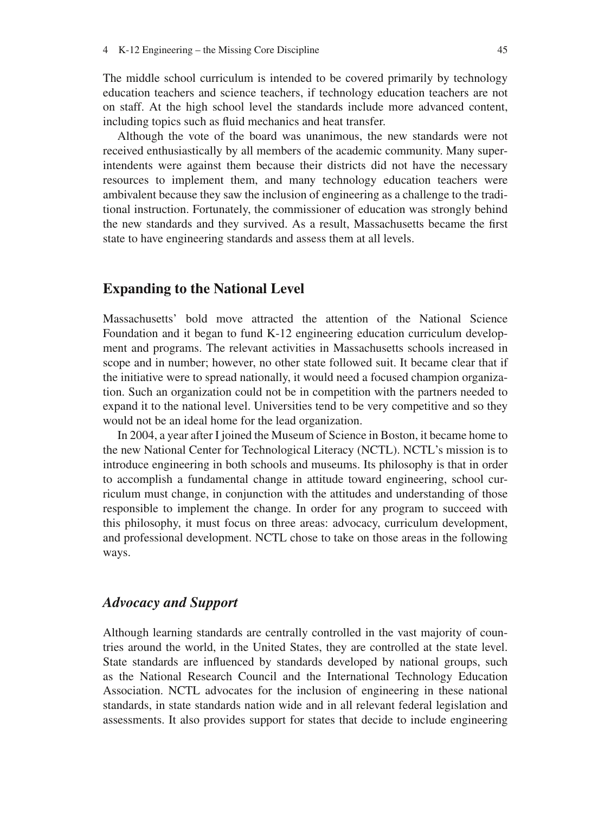The middle school curriculum is intended to be covered primarily by technology education teachers and science teachers, if technology education teachers are not on staff. At the high school level the standards include more advanced content, including topics such as fluid mechanics and heat transfer.

Although the vote of the board was unanimous, the new standards were not received enthusiastically by all members of the academic community. Many superintendents were against them because their districts did not have the necessary resources to implement them, and many technology education teachers were ambivalent because they saw the inclusion of engineering as a challenge to the traditional instruction. Fortunately, the commissioner of education was strongly behind the new standards and they survived. As a result, Massachusetts became the first state to have engineering standards and assess them at all levels.

# **Expanding to the National Level**

Massachusetts' bold move attracted the attention of the National Science Foundation and it began to fund K-12 engineering education curriculum development and programs. The relevant activities in Massachusetts schools increased in scope and in number; however, no other state followed suit. It became clear that if the initiative were to spread nationally, it would need a focused champion organization. Such an organization could not be in competition with the partners needed to expand it to the national level. Universities tend to be very competitive and so they would not be an ideal home for the lead organization.

In 2004, a year after I joined the Museum of Science in Boston, it became home to the new National Center for Technological Literacy (NCTL). NCTL's mission is to introduce engineering in both schools and museums. Its philosophy is that in order to accomplish a fundamental change in attitude toward engineering, school curriculum must change, in conjunction with the attitudes and understanding of those responsible to implement the change. In order for any program to succeed with this philosophy, it must focus on three areas: advocacy, curriculum development, and professional development. NCTL chose to take on those areas in the following ways.

#### *Advocacy and Support*

Although learning standards are centrally controlled in the vast majority of countries around the world, in the United States, they are controlled at the state level. State standards are influenced by standards developed by national groups, such as the National Research Council and the International Technology Education Association. NCTL advocates for the inclusion of engineering in these national standards, in state standards nation wide and in all relevant federal legislation and assessments. It also provides support for states that decide to include engineering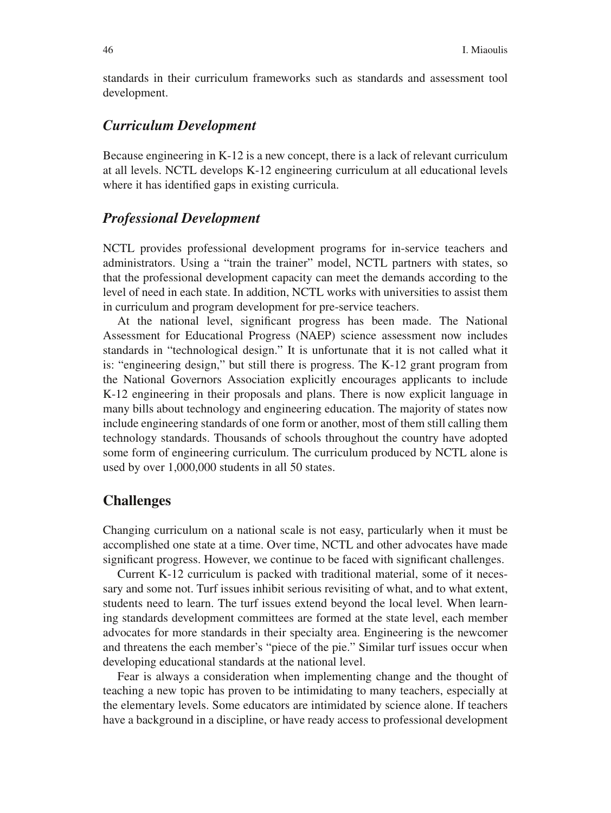standards in their curriculum frameworks such as standards and assessment tool development.

#### *Curriculum Development*

Because engineering in K-12 is a new concept, there is a lack of relevant curriculum at all levels. NCTL develops K-12 engineering curriculum at all educational levels where it has identified gaps in existing curricula.

#### *Professional Development*

NCTL provides professional development programs for in-service teachers and administrators. Using a "train the trainer" model, NCTL partners with states, so that the professional development capacity can meet the demands according to the level of need in each state. In addition, NCTL works with universities to assist them in curriculum and program development for pre-service teachers.

At the national level, significant progress has been made. The National Assessment for Educational Progress (NAEP) science assessment now includes standards in "technological design." It is unfortunate that it is not called what it is: "engineering design," but still there is progress. The K-12 grant program from the National Governors Association explicitly encourages applicants to include K-12 engineering in their proposals and plans. There is now explicit language in many bills about technology and engineering education. The majority of states now include engineering standards of one form or another, most of them still calling them technology standards. Thousands of schools throughout the country have adopted some form of engineering curriculum. The curriculum produced by NCTL alone is used by over 1,000,000 students in all 50 states.

#### **Challenges**

Changing curriculum on a national scale is not easy, particularly when it must be accomplished one state at a time. Over time, NCTL and other advocates have made significant progress. However, we continue to be faced with significant challenges.

Current K-12 curriculum is packed with traditional material, some of it necessary and some not. Turf issues inhibit serious revisiting of what, and to what extent, students need to learn. The turf issues extend beyond the local level. When learning standards development committees are formed at the state level, each member advocates for more standards in their specialty area. Engineering is the newcomer and threatens the each member's "piece of the pie." Similar turf issues occur when developing educational standards at the national level.

Fear is always a consideration when implementing change and the thought of teaching a new topic has proven to be intimidating to many teachers, especially at the elementary levels. Some educators are intimidated by science alone. If teachers have a background in a discipline, or have ready access to professional development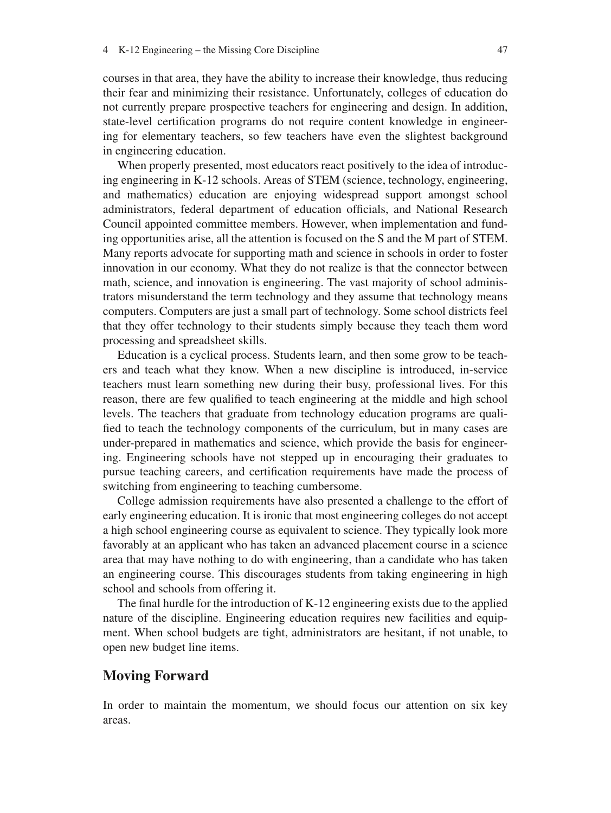courses in that area, they have the ability to increase their knowledge, thus reducing their fear and minimizing their resistance. Unfortunately, colleges of education do not currently prepare prospective teachers for engineering and design. In addition, state-level certification programs do not require content knowledge in engineering for elementary teachers, so few teachers have even the slightest background in engineering education.

When properly presented, most educators react positively to the idea of introducing engineering in K-12 schools. Areas of STEM (science, technology, engineering, and mathematics) education are enjoying widespread support amongst school administrators, federal department of education officials, and National Research Council appointed committee members. However, when implementation and funding opportunities arise, all the attention is focused on the S and the M part of STEM. Many reports advocate for supporting math and science in schools in order to foster innovation in our economy. What they do not realize is that the connector between math, science, and innovation is engineering. The vast majority of school administrators misunderstand the term technology and they assume that technology means computers. Computers are just a small part of technology. Some school districts feel that they offer technology to their students simply because they teach them word processing and spreadsheet skills.

Education is a cyclical process. Students learn, and then some grow to be teachers and teach what they know. When a new discipline is introduced, in-service teachers must learn something new during their busy, professional lives. For this reason, there are few qualified to teach engineering at the middle and high school levels. The teachers that graduate from technology education programs are qualified to teach the technology components of the curriculum, but in many cases are under-prepared in mathematics and science, which provide the basis for engineering. Engineering schools have not stepped up in encouraging their graduates to pursue teaching careers, and certification requirements have made the process of switching from engineering to teaching cumbersome.

College admission requirements have also presented a challenge to the effort of early engineering education. It is ironic that most engineering colleges do not accept a high school engineering course as equivalent to science. They typically look more favorably at an applicant who has taken an advanced placement course in a science area that may have nothing to do with engineering, than a candidate who has taken an engineering course. This discourages students from taking engineering in high school and schools from offering it.

The final hurdle for the introduction of K-12 engineering exists due to the applied nature of the discipline. Engineering education requires new facilities and equipment. When school budgets are tight, administrators are hesitant, if not unable, to open new budget line items.

# **Moving Forward**

In order to maintain the momentum, we should focus our attention on six key areas.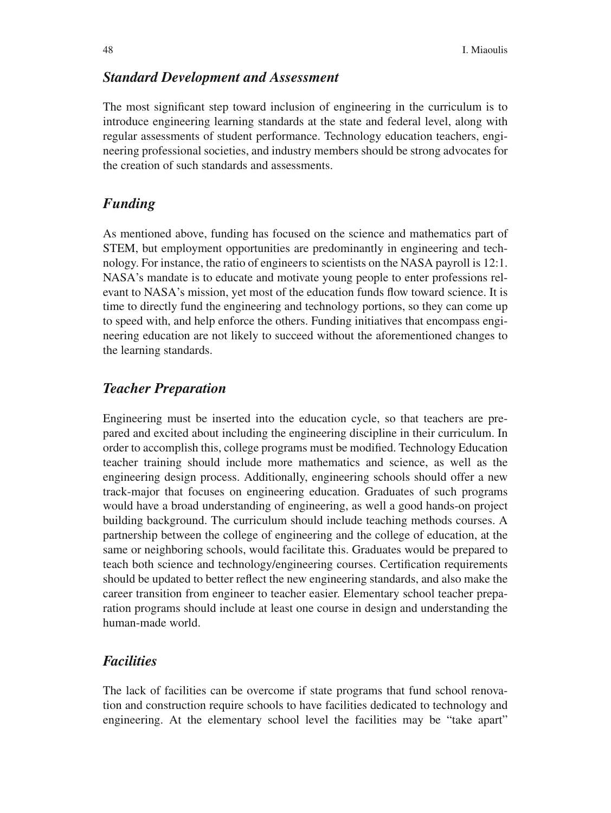#### *Standard Development and Assessment*

The most significant step toward inclusion of engineering in the curriculum is to introduce engineering learning standards at the state and federal level, along with regular assessments of student performance. Technology education teachers, engineering professional societies, and industry members should be strong advocates for the creation of such standards and assessments.

# *Funding*

As mentioned above, funding has focused on the science and mathematics part of STEM, but employment opportunities are predominantly in engineering and technology. For instance, the ratio of engineers to scientists on the NASA payroll is 12:1. NASA's mandate is to educate and motivate young people to enter professions relevant to NASA's mission, yet most of the education funds flow toward science. It is time to directly fund the engineering and technology portions, so they can come up to speed with, and help enforce the others. Funding initiatives that encompass engineering education are not likely to succeed without the aforementioned changes to the learning standards.

# *Teacher Preparation*

Engineering must be inserted into the education cycle, so that teachers are prepared and excited about including the engineering discipline in their curriculum. In order to accomplish this, college programs must be modified. Technology Education teacher training should include more mathematics and science, as well as the engineering design process. Additionally, engineering schools should offer a new track-major that focuses on engineering education. Graduates of such programs would have a broad understanding of engineering, as well a good hands-on project building background. The curriculum should include teaching methods courses. A partnership between the college of engineering and the college of education, at the same or neighboring schools, would facilitate this. Graduates would be prepared to teach both science and technology/engineering courses. Certification requirements should be updated to better reflect the new engineering standards, and also make the career transition from engineer to teacher easier. Elementary school teacher preparation programs should include at least one course in design and understanding the human-made world.

# *Facilities*

The lack of facilities can be overcome if state programs that fund school renovation and construction require schools to have facilities dedicated to technology and engineering. At the elementary school level the facilities may be "take apart"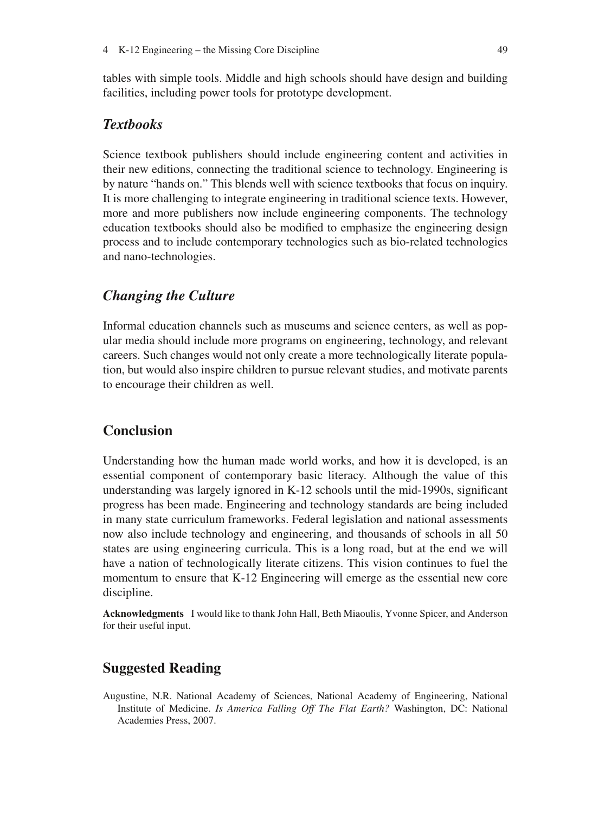tables with simple tools. Middle and high schools should have design and building facilities, including power tools for prototype development.

# *Textbooks*

Science textbook publishers should include engineering content and activities in their new editions, connecting the traditional science to technology. Engineering is by nature "hands on." This blends well with science textbooks that focus on inquiry. It is more challenging to integrate engineering in traditional science texts. However, more and more publishers now include engineering components. The technology education textbooks should also be modified to emphasize the engineering design process and to include contemporary technologies such as bio-related technologies and nano-technologies.

# *Changing the Culture*

Informal education channels such as museums and science centers, as well as popular media should include more programs on engineering, technology, and relevant careers. Such changes would not only create a more technologically literate population, but would also inspire children to pursue relevant studies, and motivate parents to encourage their children as well.

# **Conclusion**

Understanding how the human made world works, and how it is developed, is an essential component of contemporary basic literacy. Although the value of this understanding was largely ignored in K-12 schools until the mid-1990s, significant progress has been made. Engineering and technology standards are being included in many state curriculum frameworks. Federal legislation and national assessments now also include technology and engineering, and thousands of schools in all 50 states are using engineering curricula. This is a long road, but at the end we will have a nation of technologically literate citizens. This vision continues to fuel the momentum to ensure that K-12 Engineering will emerge as the essential new core discipline.

**Acknowledgments** I would like to thank John Hall, Beth Miaoulis, Yvonne Spicer, and Anderson for their useful input.

# **Suggested Reading**

Augustine, N.R. National Academy of Sciences, National Academy of Engineering, National Institute of Medicine. *Is America Falling Off The Flat Earth?* Washington, DC: National Academies Press, 2007.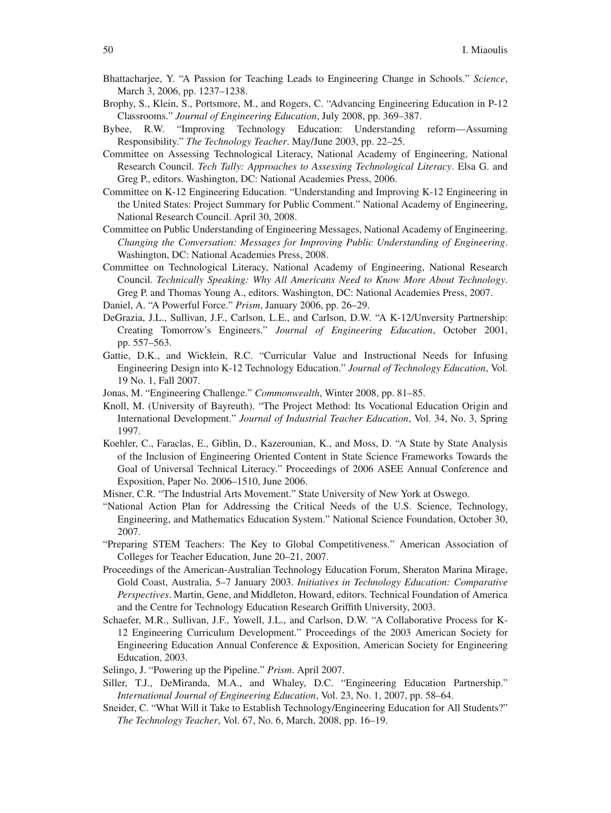- Bhattacharjee, Y. "A Passion for Teaching Leads to Engineering Change in Schools." *Science*, March 3, 2006, pp. 1237–1238.
- Brophy, S., Klein, S., Portsmore, M., and Rogers, C. "Advancing Engineering Education in P-12 Classrooms." *Journal of Engineering Education*, July 2008, pp. 369–387.
- Bybee, R.W. "Improving Technology Education: Understanding reform—Assuming Responsibility." *The Technology Teacher*. May/June 2003, pp. 22–25.
- Committee on Assessing Technological Literacy, National Academy of Engineering, National Research Council. *Tech Tally: Approaches to Assessing Technological Literacy*. Elsa G. and Greg P., editors. Washington, DC: National Academies Press, 2006.
- Committee on K-12 Engineering Education. "Understanding and Improving K-12 Engineering in the United States: Project Summary for Public Comment." National Academy of Engineering, National Research Council. April 30, 2008.
- Committee on Public Understanding of Engineering Messages, National Academy of Engineering. *Changing the Conversation: Messages for Improving Public Understanding of Engineering*. Washington, DC: National Academies Press, 2008.
- Committee on Technological Literacy, National Academy of Engineering, National Research Council. *Technically Speaking: Why All Americans Need to Know More About Technology*. Greg P. and Thomas Young A., editors. Washington, DC: National Academies Press, 2007.
- Daniel, A. "A Powerful Force." *Prism*, January 2006, pp. 26–29.
- DeGrazia, J.L., Sullivan, J.F., Carlson, L.E., and Carlson, D.W. "A K-12/Unversity Partnership: Creating Tomorrow's Engineers." *Journal of Engineering Education*, October 2001, pp. 557–563.
- Gattie, D.K., and Wicklein, R.C. "Curricular Value and Instructional Needs for Infusing Engineering Design into K-12 Technology Education." *Journal of Technology Education*, Vol. 19 No. 1, Fall 2007.
- Jonas, M. "Engineering Challenge." *Commonwealth*, Winter 2008, pp. 81–85.
- Knoll, M. (University of Bayreuth). "The Project Method: Its Vocational Education Origin and International Development." *Journal of Industrial Teacher Education*, Vol. 34, No. 3, Spring 1997.
- Koehler, C., Faraclas, E., Giblin, D., Kazerounian, K., and Moss, D. "A State by State Analysis of the Inclusion of Engineering Oriented Content in State Science Frameworks Towards the Goal of Universal Technical Literacy." Proceedings of 2006 ASEE Annual Conference and Exposition, Paper No. 2006–1510, June 2006.
- Misner, C.R. "The Industrial Arts Movement." State University of New York at Oswego.
- "National Action Plan for Addressing the Critical Needs of the U.S. Science, Technology, Engineering, and Mathematics Education System." National Science Foundation, October 30, 2007.
- "Preparing STEM Teachers: The Key to Global Competitiveness." American Association of Colleges for Teacher Education, June 20–21, 2007.
- Proceedings of the American-Australian Technology Education Forum, Sheraton Marina Mirage, Gold Coast, Australia, 5–7 January 2003. *Initiatives in Technology Education: Comparative Perspectives*. Martin, Gene, and Middleton, Howard, editors. Technical Foundation of America and the Centre for Technology Education Research Griffith University, 2003.
- Schaefer, M.R., Sullivan, J.F., Yowell, J.L., and Carlson, D.W. "A Collaborative Process for K-12 Engineering Curriculum Development." Proceedings of the 2003 American Society for Engineering Education Annual Conference & Exposition, American Society for Engineering Education, 2003.
- Selingo, J. "Powering up the Pipeline." *Prism*. April 2007.
- Siller, T.J., DeMiranda, M.A., and Whaley, D.C. "Engineering Education Partnership." *International Journal of Engineering Education*, Vol. 23, No. 1, 2007, pp. 58–64.
- Sneider, C. "What Will it Take to Establish Technology/Engineering Education for All Students?" *The Technology Teacher*, Vol. 67, No. 6, March, 2008, pp. 16–19.